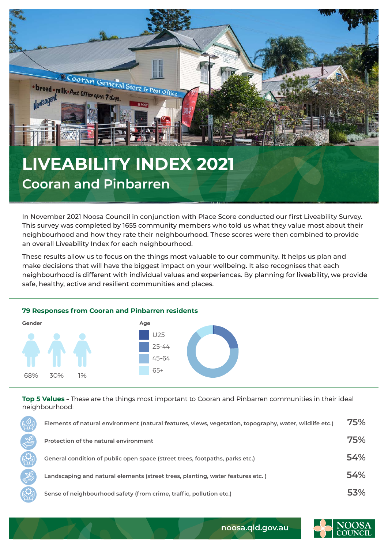

In November 2021 Noosa Council in conjunction with Place Score conducted our first Liveability Survey. This survey was completed by 1655 community members who told us what they value most about their neighbourhood and how they rate their neighbourhood. These scores were then combined to provide an overall Liveability Index for each neighbourhood.

These results allow us to focus on the things most valuable to our community. It helps us plan and make decisions that will have the biggest impact on your wellbeing. It also recognises that each neighbourhood is different with individual values and experiences. By planning for liveability, we provide safe, healthy, active and resilient communities and places.



**Top 5 Values** – These are the things most important to Cooran and Pinbarren communities in their ideal neighbourhood:

| Elements of natural environment (natural features, views, vegetation, topography, water, wildlife etc.) | 75% |
|---------------------------------------------------------------------------------------------------------|-----|
| Protection of the natural environment                                                                   | 75% |
| General condition of public open space (street trees, footpaths, parks etc.)                            | 54% |
| Landscaping and natural elements (street trees, planting, water features etc.)                          | 54% |
| Sense of neighbourhood safety (from crime, traffic, pollution etc.)                                     | 53% |



**noosa.qld.gov.au**